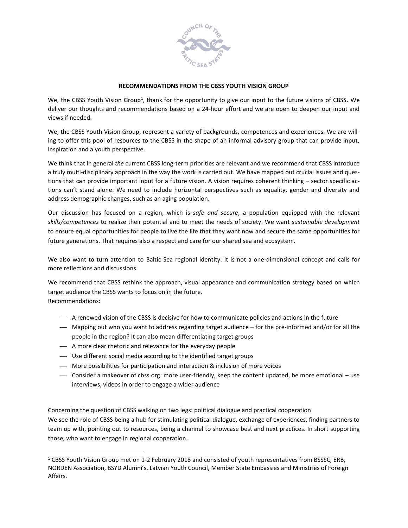

## **RECOMMENDATIONS FROM THE CBSS YOUTH VISION GROUP**

We, the CBSS Youth Vision Group<sup>1</sup>, thank for the opportunity to give our input to the future visions of CBSS. We deliver our thoughts and recommendations based on a 24-hour effort and we are open to deepen our input and views if needed.

We, the CBSS Youth Vision Group, represent a variety of backgrounds, competences and experiences. We are willing to offer this pool of resources to the CBSS in the shape of an informal advisory group that can provide input, inspiration and a youth perspective.

We think that in general *the* current CBSS long-term priorities are relevant and we recommend that CBSS introduce a truly multi-disciplinary approach in the way the work is carried out. We have mapped out crucial issues and questions that can provide important input for a future vision. A vision requires coherent thinking – sector specific actions can't stand alone. We need to include horizontal perspectives such as equality, gender and diversity and address demographic changes, such as an aging population.

Our discussion has focused on a region, which is *safe and secure*, a population equipped with the relevant *skills/competences* to realize their potential and to meet the needs of society. We want *sustainable development* to ensure equal opportunities for people to live the life that they want now and secure the same opportunities for future generations. That requires also a respect and care for our shared sea and ecosystem.

We also want to turn attention to Baltic Sea regional identity. It is not a one-dimensional concept and calls for more reflections and discussions.

We recommend that CBSS rethink the approach, visual appearance and communication strategy based on which target audience the CBSS wants to focus on in the future. Recommendations:

- A renewed vision of the CBSS is decisive for how to communicate policies and actions in the future
- Mapping out who you want to address regarding target audience for the pre-informed and/or for all the people in the region? It can also mean differentiating target groups
- A more clear rhetoric and relevance for the everyday people

 $\overline{a}$ 

- Use different social media according to the identified target groups
- More possibilities for participation and interaction & inclusion of more voices
- Consider a makeover of cbss.org: more user-friendly, keep the content updated, be more emotional use interviews, videos in order to engage a wider audience

Concerning the question of CBSS walking on two legs: political dialogue and practical cooperation We see the role of CBSS being a hub for stimulating political dialogue, exchange of experiences, finding partners to team up with, pointing out to resources, being a channel to showcase best and next practices. In short supporting those, who want to engage in regional cooperation.

<sup>&</sup>lt;sup>1</sup> CBSS Youth Vision Group met on 1-2 February 2018 and consisted of youth representatives from BSSSC, ERB, NORDEN Association, BSYD Alumni's, Latvian Youth Council, Member State Embassies and Ministries of Foreign Affairs.